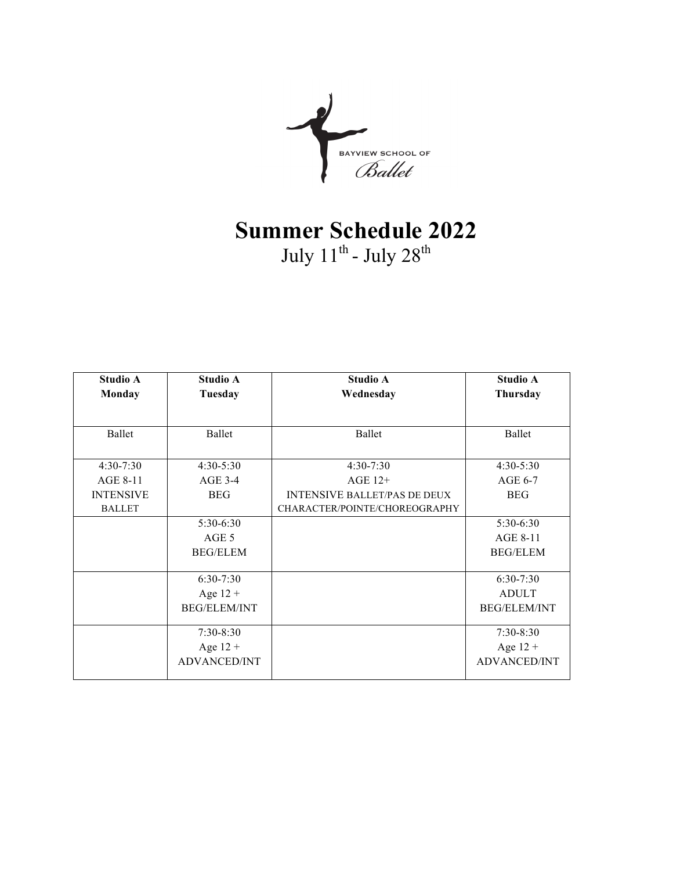

# **Summer Schedule 2022**  July 11<sup>th</sup> - July 28<sup>th</sup>

| <b>Studio A</b>  | <b>Studio A</b>     | <b>Studio A</b>                     | <b>Studio A</b>     |
|------------------|---------------------|-------------------------------------|---------------------|
| Monday           | Tuesday             | Wednesday                           | Thursday            |
|                  |                     |                                     |                     |
| <b>Ballet</b>    | Ballet              | Ballet                              | <b>Ballet</b>       |
|                  |                     |                                     |                     |
| $4:30-7:30$      | $4:30-5:30$         | $4:30-7:30$                         | $4:30-5:30$         |
| <b>AGE 8-11</b>  | $AGE 3-4$           | AGE 12+                             | <b>AGE 6-7</b>      |
| <b>INTENSIVE</b> | <b>BEG</b>          | <b>INTENSIVE BALLET/PAS DE DEUX</b> | <b>BEG</b>          |
| <b>BALLET</b>    |                     | CHARACTER/POINTE/CHOREOGRAPHY       |                     |
|                  | 5:30-6:30           |                                     | $5:30-6:30$         |
|                  | AGE 5               |                                     | <b>AGE 8-11</b>     |
|                  | <b>BEG/ELEM</b>     |                                     | <b>BEG/ELEM</b>     |
|                  |                     |                                     |                     |
|                  | $6:30-7:30$         |                                     | $6:30-7:30$         |
|                  | Age $12 +$          |                                     | <b>ADULT</b>        |
|                  | <b>BEG/ELEM/INT</b> |                                     | <b>BEG/ELEM/INT</b> |
|                  | $7:30-8:30$         |                                     | $7:30-8:30$         |
|                  | Age $12 +$          |                                     | Age $12 +$          |
|                  | <b>ADVANCED/INT</b> |                                     | <b>ADVANCED/INT</b> |
|                  |                     |                                     |                     |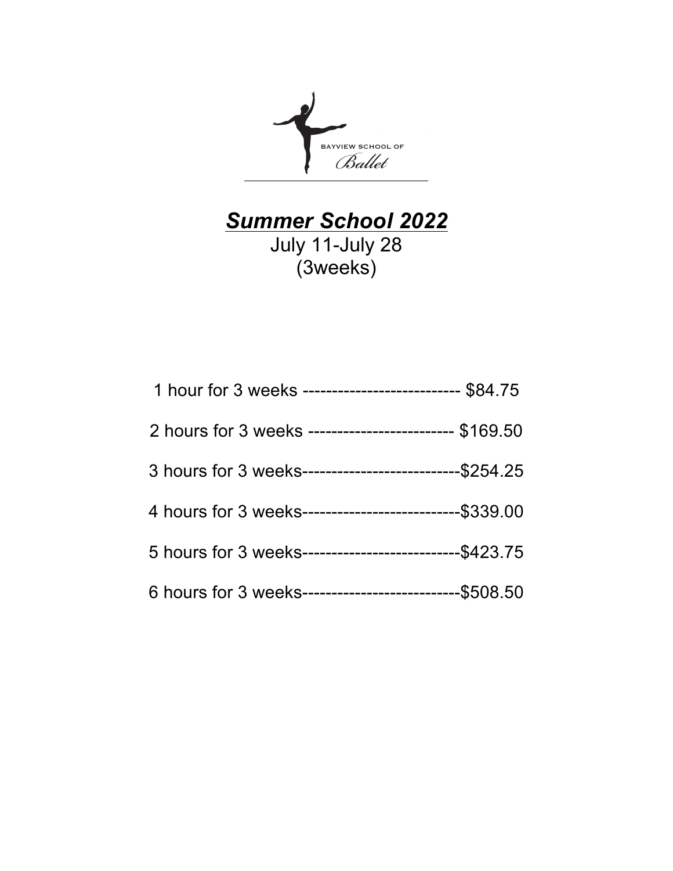

## *Summer School 2022* July 11-July 28 (3weeks)

| 1 hour for 3 weeks --------------------------- \$84.75  |  |
|---------------------------------------------------------|--|
| 2 hours for 3 weeks ------------------------ \$169.50   |  |
| 3 hours for 3 weeks----------------------------\$254.25 |  |
| 4 hours for 3 weeks----------------------------\$339.00 |  |
| 5 hours for 3 weeks----------------------------\$423.75 |  |
| 6 hours for 3 weeks----------------------------\$508.50 |  |